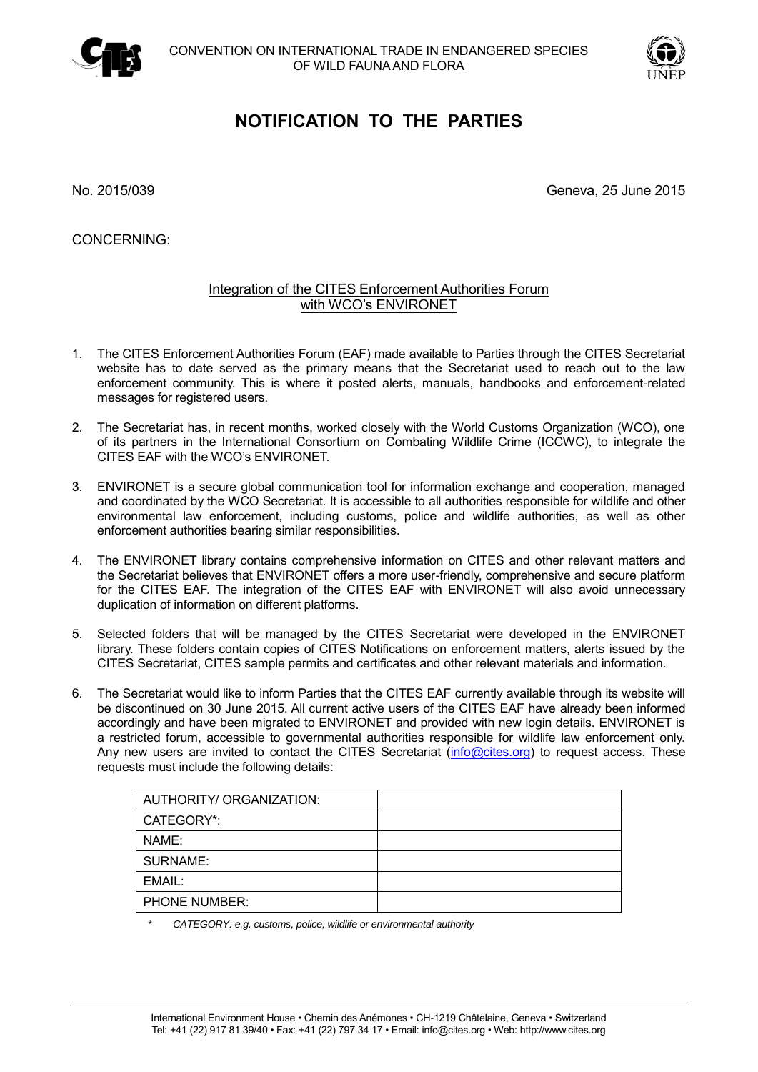



## **NOTIFICATION TO THE PARTIES**

No. 2015/039 Geneva, 25 June 2015

CONCERNING:

## Integration of the CITES Enforcement Authorities Forum with WCO's ENVIRONET

- 1. The CITES Enforcement Authorities Forum (EAF) made available to Parties through the CITES Secretariat website has to date served as the primary means that the Secretariat used to reach out to the law enforcement community. This is where it posted alerts, manuals, handbooks and enforcement-related messages for registered users.
- 2. The Secretariat has, in recent months, worked closely with the World Customs Organization (WCO), one of its partners in the International Consortium on Combating Wildlife Crime (ICCWC), to integrate the CITES EAF with the WCO's ENVIRONET.
- 3. ENVIRONET is a secure global communication tool for information exchange and cooperation, managed and coordinated by the WCO Secretariat. It is accessible to all authorities responsible for wildlife and other environmental law enforcement, including customs, police and wildlife authorities, as well as other enforcement authorities bearing similar responsibilities.
- 4. The ENVIRONET library contains comprehensive information on CITES and other relevant matters and the Secretariat believes that ENVIRONET offers a more user-friendly, comprehensive and secure platform for the CITES EAF. The integration of the CITES EAF with ENVIRONET will also avoid unnecessary duplication of information on different platforms.
- 5. Selected folders that will be managed by the CITES Secretariat were developed in the ENVIRONET library. These folders contain copies of CITES Notifications on enforcement matters, alerts issued by the CITES Secretariat, CITES sample permits and certificates and other relevant materials and information.
- 6. The Secretariat would like to inform Parties that the CITES EAF currently available through its website will be discontinued on 30 June 2015. All current active users of the CITES EAF have already been informed accordingly and have been migrated to ENVIRONET and provided with new login details. ENVIRONET is a restricted forum, accessible to governmental authorities responsible for wildlife law enforcement only. Any new users are invited to contact the CITES Secretariat [\(info@cites.org\)](mailto:info@cites.org) to request access. These requests must include the following details:

| AUTHORITY/ ORGANIZATION: |  |
|--------------------------|--|
| CATEGORY*:               |  |
| NAME:                    |  |
| <b>SURNAME:</b>          |  |
| EMAIL:                   |  |
| PHONE NUMBER:            |  |
|                          |  |

*\* CATEGORY: e.g. customs, police, wildlife or environmental authority*